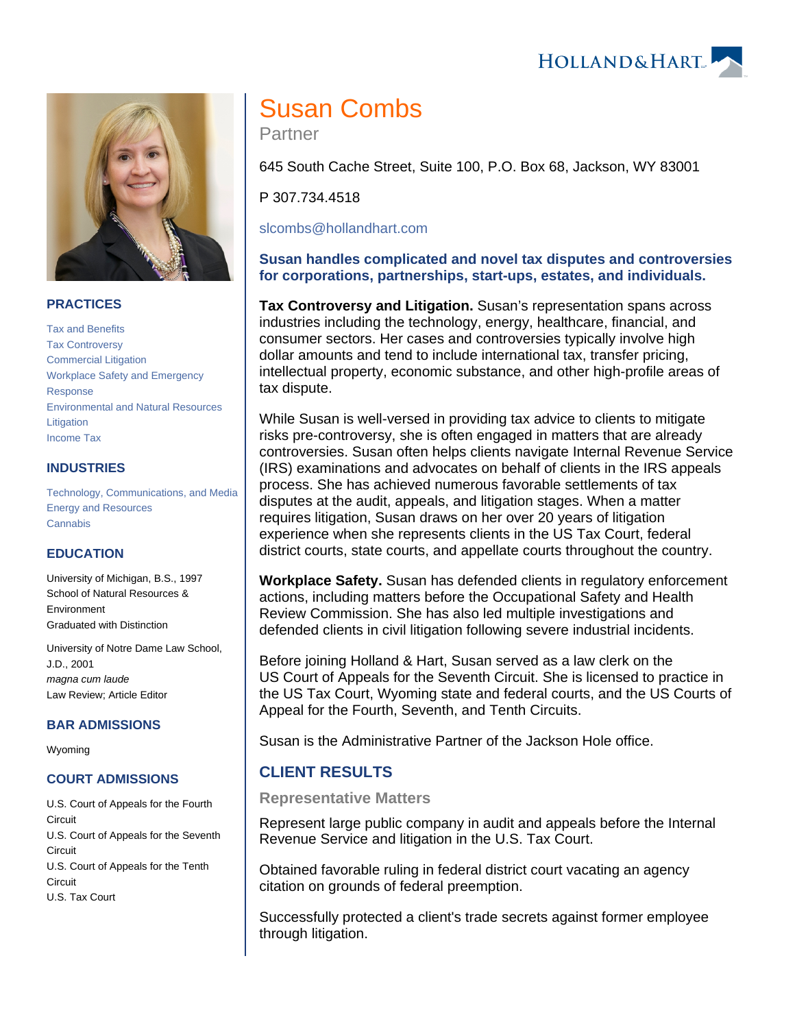HOLLAND& HART



## **PRACTICES**

[Tax and Benefits](https://www.hollandhart.com/19755) [Tax Controversy](https://www.hollandhart.com/33124) [Commercial Litigation](https://www.hollandhart.com/19684) [Workplace Safety and Emergency](https://www.hollandhart.com/19717)  [Response](https://www.hollandhart.com/19717) [Environmental and Natural Resources](https://www.hollandhart.com/19745)  **[Litigation](https://www.hollandhart.com/19745)** [Income Tax](https://www.hollandhart.com/19727)

## **INDUSTRIES**

[Technology, Communications, and Media](https://www.hollandhart.com/28510) [Energy and Resources](https://www.hollandhart.com/28508) **[Cannabis](https://www.hollandhart.com/39602)** 

## **EDUCATION**

University of Michigan, B.S., 1997 School of Natural Resources & Environment Graduated with Distinction

University of Notre Dame Law School, J.D., 2001 magna cum laude Law Review; Article Editor

#### **BAR ADMISSIONS**

Wyoming

## **COURT ADMISSIONS**

U.S. Court of Appeals for the Fourth **Circuit** U.S. Court of Appeals for the Seventh **Circuit** U.S. Court of Appeals for the Tenth **Circuit** U.S. Tax Court

# Susan Combs

Partner

645 South Cache Street, Suite 100, P.O. Box 68, Jackson, WY 83001

P 307.734.4518

[slcombs@hollandhart.com](mailto:slcombs@hollandhart.com)

## **Susan handles complicated and novel tax disputes and controversies for corporations, partnerships, start-ups, estates, and individuals.**

**Tax Controversy and Litigation.** Susan's representation spans across industries including the technology, energy, healthcare, financial, and consumer sectors. Her cases and controversies typically involve high dollar amounts and tend to include international tax, transfer pricing, intellectual property, economic substance, and other high-profile areas of tax dispute.

While Susan is well-versed in providing tax advice to clients to mitigate risks pre-controversy, she is often engaged in matters that are already controversies. Susan often helps clients navigate Internal Revenue Service (IRS) examinations and advocates on behalf of clients in the IRS appeals process. She has achieved numerous favorable settlements of tax disputes at the audit, appeals, and litigation stages. When a matter requires litigation, Susan draws on her over 20 years of litigation experience when she represents clients in the US Tax Court, federal district courts, state courts, and appellate courts throughout the country.

**Workplace Safety.** Susan has defended clients in regulatory enforcement actions, including matters before the Occupational Safety and Health Review Commission. She has also led multiple investigations and defended clients in civil litigation following severe industrial incidents.

Before joining Holland & Hart, Susan served as a law clerk on the US Court of Appeals for the Seventh Circuit. She is licensed to practice in the US Tax Court, Wyoming state and federal courts, and the US Courts of Appeal for the Fourth, Seventh, and Tenth Circuits.

Susan is the Administrative Partner of the Jackson Hole office.

# **CLIENT RESULTS**

#### **Representative Matters**

Represent large public company in audit and appeals before the Internal Revenue Service and litigation in the U.S. Tax Court.

Obtained favorable ruling in federal district court vacating an agency citation on grounds of federal preemption.

Successfully protected a client's trade secrets against former employee through litigation.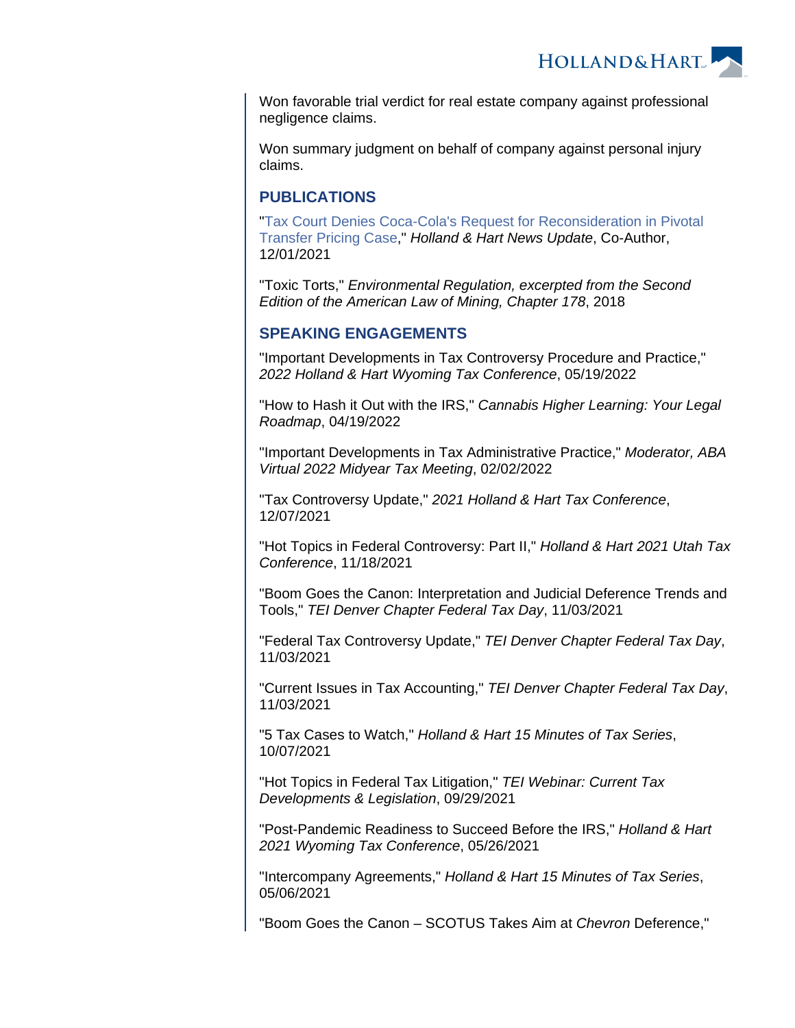**HOLLAND&HART** 

Won favorable trial verdict for real estate company against professional negligence claims.

Won summary judgment on behalf of company against personal injury claims.

## **PUBLICATIONS**

"[Tax Court Denies Coca-Cola's Request for Reconsideration in Pivotal](https://www.hollandhart.com/41625)  [Transfer Pricing Case](https://www.hollandhart.com/41625)," Holland & Hart News Update, Co-Author, 12/01/2021

"Toxic Torts," Environmental Regulation, excerpted from the Second Edition of the American Law of Mining, Chapter 178, 2018

## **SPEAKING ENGAGEMENTS**

"Important Developments in Tax Controversy Procedure and Practice," 2022 Holland & Hart Wyoming Tax Conference, 05/19/2022

"How to Hash it Out with the IRS," Cannabis Higher Learning: Your Legal Roadmap, 04/19/2022

"Important Developments in Tax Administrative Practice," Moderator, ABA Virtual 2022 Midyear Tax Meeting, 02/02/2022

"Tax Controversy Update," 2021 Holland & Hart Tax Conference, 12/07/2021

"Hot Topics in Federal Controversy: Part II," Holland & Hart 2021 Utah Tax Conference, 11/18/2021

"Boom Goes the Canon: Interpretation and Judicial Deference Trends and Tools," TEI Denver Chapter Federal Tax Day, 11/03/2021

"Federal Tax Controversy Update," TEI Denver Chapter Federal Tax Day, 11/03/2021

"Current Issues in Tax Accounting," TEI Denver Chapter Federal Tax Day, 11/03/2021

"5 Tax Cases to Watch," Holland & Hart 15 Minutes of Tax Series, 10/07/2021

"Hot Topics in Federal Tax Litigation," TEI Webinar: Current Tax Developments & Legislation, 09/29/2021

"Post-Pandemic Readiness to Succeed Before the IRS," Holland & Hart 2021 Wyoming Tax Conference, 05/26/2021

"Intercompany Agreements," Holland & Hart 15 Minutes of Tax Series, 05/06/2021

"Boom Goes the Canon – SCOTUS Takes Aim at Chevron Deference,"